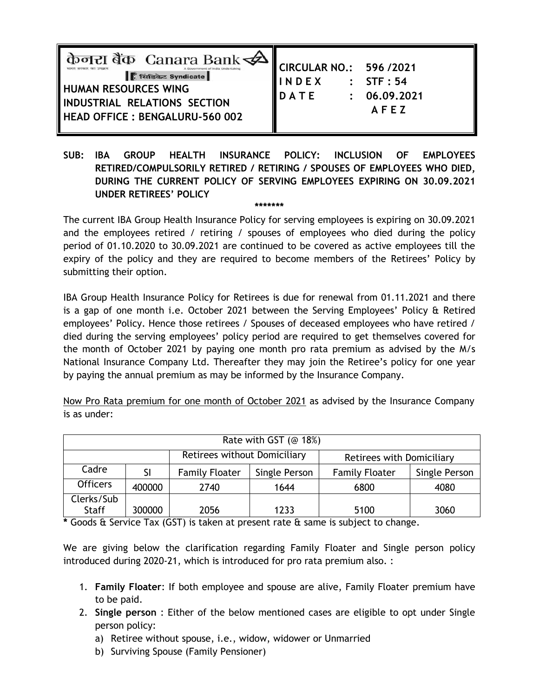| केनरा बैंक Canara Bank<br>ि सिंडिकेट Syndicate<br><b>HUMAN RESOURCES WING</b><br>INDUSTRIAL RELATIONS SECTION<br>HEAD OFFICE : BENGALURU-560 002 | CIRCULAR NO.: 596 /2021<br>INDEX : STF:54<br>DATE : 06.09.2021 | AFEZ |
|--------------------------------------------------------------------------------------------------------------------------------------------------|----------------------------------------------------------------|------|
|--------------------------------------------------------------------------------------------------------------------------------------------------|----------------------------------------------------------------|------|

**SUB: IBA GROUP HEALTH INSURANCE POLICY: INCLUSION OF EMPLOYEES RETIRED/COMPULSORILY RETIRED / RETIRING / SPOUSES OF EMPLOYEES WHO DIED, DURING THE CURRENT POLICY OF SERVING EMPLOYEES EXPIRING ON 30.09.2021 UNDER RETIREES' POLICY**

**\*\*\*\*\*\*\***

The current IBA Group Health Insurance Policy for serving employees is expiring on 30.09.2021 and the employees retired / retiring / spouses of employees who died during the policy period of 01.10.2020 to 30.09.2021 are continued to be covered as active employees till the expiry of the policy and they are required to become members of the Retirees' Policy by submitting their option.

IBA Group Health Insurance Policy for Retirees is due for renewal from 01.11.2021 and there is a gap of one month i.e. October 2021 between the Serving Employees' Policy & Retired employees' Policy. Hence those retirees / Spouses of deceased employees who have retired / died during the serving employees' policy period are required to get themselves covered for the month of October 2021 by paying one month pro rata premium as advised by the M/s National Insurance Company Ltd. Thereafter they may join the Retiree's policy for one year by paying the annual premium as may be informed by the Insurance Company.

Now Pro Rata premium for one month of October 2021 as advised by the Insurance Company is as under:

| Rate with GST ( $@$ 18%) |        |                              |               |                           |               |  |
|--------------------------|--------|------------------------------|---------------|---------------------------|---------------|--|
|                          |        | Retirees without Domiciliary |               | Retirees with Domiciliary |               |  |
| Cadre                    | SI     | <b>Family Floater</b>        | Single Person | <b>Family Floater</b>     | Single Person |  |
| <b>Officers</b>          | 400000 | 2740                         | 1644          | 6800                      | 4080          |  |
| Clerks/Sub               |        |                              |               |                           |               |  |
| <b>Staff</b>             | 300000 | 2056                         | 1233          | 5100                      | 3060          |  |

**\*** Goods & Service Tax (GST) is taken at present rate & same is subject to change.

We are giving below the clarification regarding Family Floater and Single person policy introduced during 2020-21, which is introduced for pro rata premium also. :

- 1. **Family Floater**: If both employee and spouse are alive, Family Floater premium have to be paid.
- 2. **Single person** : Either of the below mentioned cases are eligible to opt under Single person policy:
	- a) Retiree without spouse, i.e., widow, widower or Unmarried
	- b) Surviving Spouse (Family Pensioner)